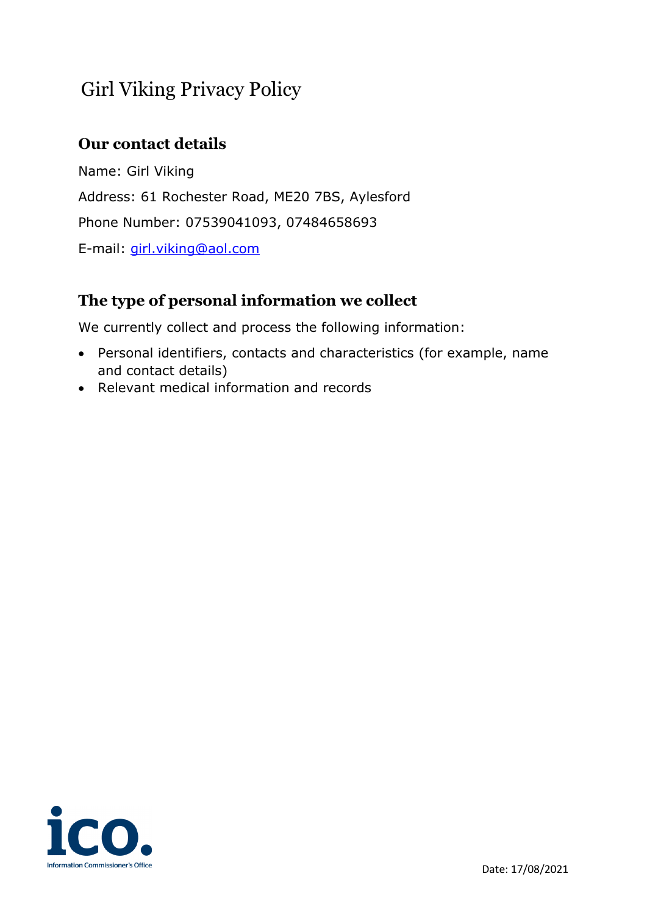# Girl Viking Privacy Policy

# **Our contact details**

Name: Girl Viking Address: 61 Rochester Road, ME20 7BS, Aylesford Phone Number: 07539041093, 07484658693 E-mail: [girl.viking@aol.com](mailto:girl.viking@aol.com) 

# **The type of personal information we collect**

We currently collect and process the following information:

- Personal identifiers, contacts and characteristics (for example, name and contact details)
- Relevant medical information and records

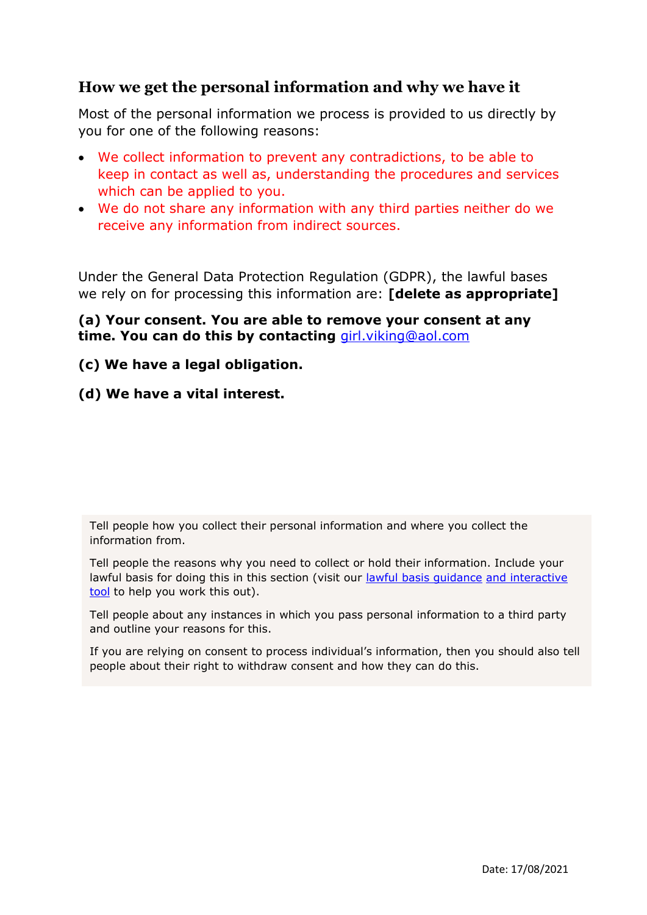### **How we get the personal information and why we have it**

Most of the personal information we process is provided to us directly by you for one of the following reasons:

- We collect information to prevent any contradictions, to be able to keep in contact as well as, understanding the procedures and services which can be applied to you.
- We do not share any information with any third parties neither do we receive any information from indirect sources.

Under the General Data Protection Regulation (GDPR), the lawful bases we rely on for processing this information are: **[delete as appropriate]**

**(a) Your consent. You are able to remove your consent at any time. You can do this by contacting** [girl.viking@aol.com](mailto:girl.viking@aol.com) 

#### **(c) We have a legal obligation.**

#### **(d) We have a vital interest.**

Tell people how you collect their personal information and where you collect the information from.

Tell people the reasons why you need to collect or hold their information. Include your lawful basis for doing this in this section (visit our [lawful basis guidance](https://ico.org.uk/for-organisations/guide-to-data-protection/guide-to-the-general-data-protection-regulation-gdpr/lawful-basis-for-processing/) [and interactive](https://ico.org.uk/for-organisations/gdpr-resources/lawful-basis-interactive-guidance-tool/)  [tool](https://ico.org.uk/for-organisations/gdpr-resources/lawful-basis-interactive-guidance-tool/) to help you work this out).

Tell people about any instances in which you pass personal information to a third party and outline your reasons for this.

If you are relying on consent to process individual's information, then you should also tell people about their right to withdraw consent and how they can do this.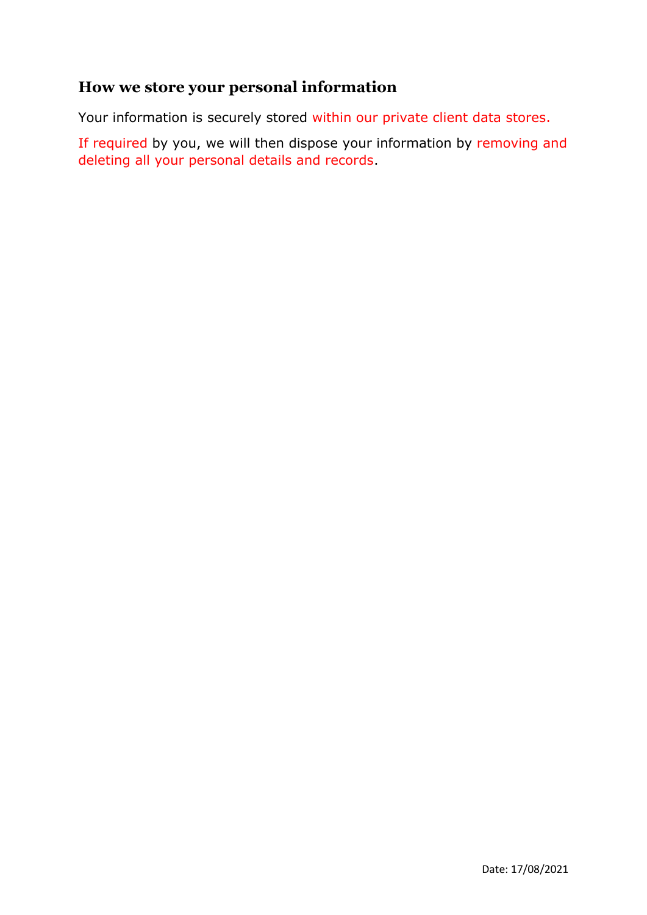## **How we store your personal information**

Your information is securely stored within our private client data stores.

If required by you, we will then dispose your information by removing and deleting all your personal details and records.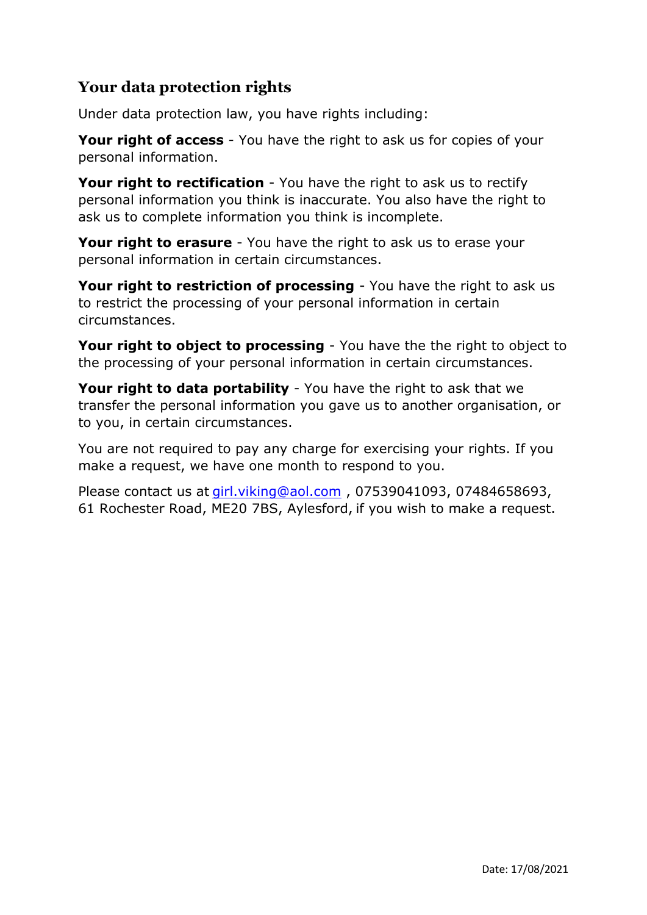# **Your data protection rights**

Under data protection law, you have rights including:

**Your right of access** - You have the right to ask us for copies of your personal information.

**Your right to rectification** - You have the right to ask us to rectify personal information you think is inaccurate. You also have the right to ask us to complete information you think is incomplete.

**Your right to erasure** - You have the right to ask us to erase your personal information in certain circumstances.

**Your right to restriction of processing** - You have the right to ask us to restrict the processing of your personal information in certain circumstances.

**Your right to object to processing** - You have the the right to object to the processing of your personal information in certain circumstances.

**Your right to data portability** - You have the right to ask that we transfer the personal information you gave us to another organisation, or to you, in certain circumstances.

You are not required to pay any charge for exercising your rights. If you make a request, we have one month to respond to you.

Please contact us at [girl.viking@aol.com](mailto:girl.viking@aol.com) , 07539041093, 07484658693, 61 Rochester Road, ME20 7BS, Aylesford, if you wish to make a request.